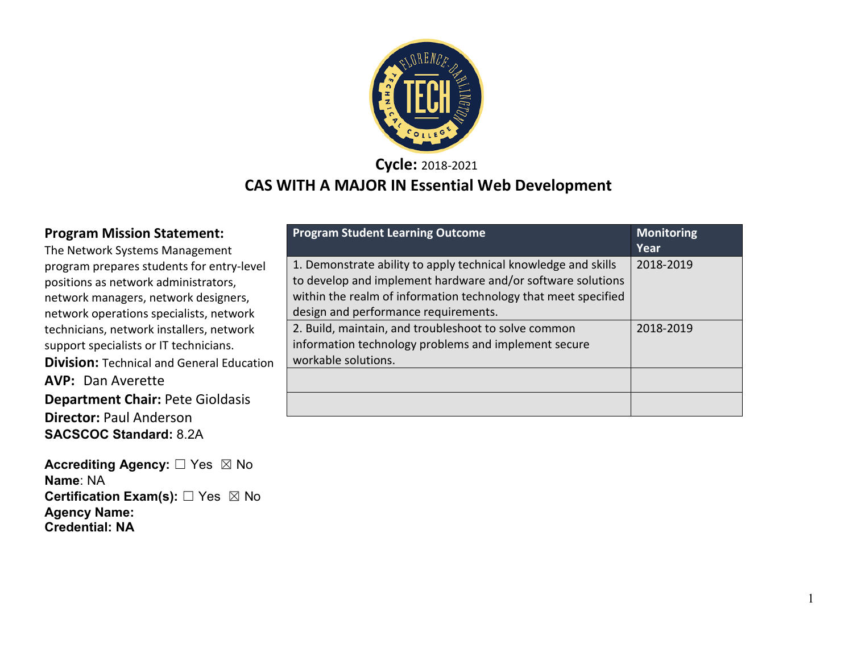

**Cycle:** 2018-2021

### **CAS WITH A MAJOR IN Essential Web Development**

#### **Program Mission Statement:**

The Network Systems Management program prepares students for entry-level positions as network administrators, network managers, network designers, network operations specialists, network technicians, network installers, network support specialists or IT technicians. **Division:** Technical and General Education **AVP:** Dan Averette **Department Chair:** Pete Gioldasis **Director:** Paul Anderson

**SACSCOC Standard:** 8.2A

**Accrediting Agency:** ☐ Yes ☒ No **Name**: NA **Certification Exam(s):** □ Yes ⊠ No **Agency Name: Credential: NA**

| <b>Program Student Learning Outcome</b>                                                                                                                                                                                                 | <b>Monitoring</b><br>Year |
|-----------------------------------------------------------------------------------------------------------------------------------------------------------------------------------------------------------------------------------------|---------------------------|
| 1. Demonstrate ability to apply technical knowledge and skills<br>to develop and implement hardware and/or software solutions<br>within the realm of information technology that meet specified<br>design and performance requirements. | 2018-2019                 |
| 2. Build, maintain, and troubleshoot to solve common<br>information technology problems and implement secure<br>workable solutions.                                                                                                     | 2018-2019                 |
|                                                                                                                                                                                                                                         |                           |
|                                                                                                                                                                                                                                         |                           |

1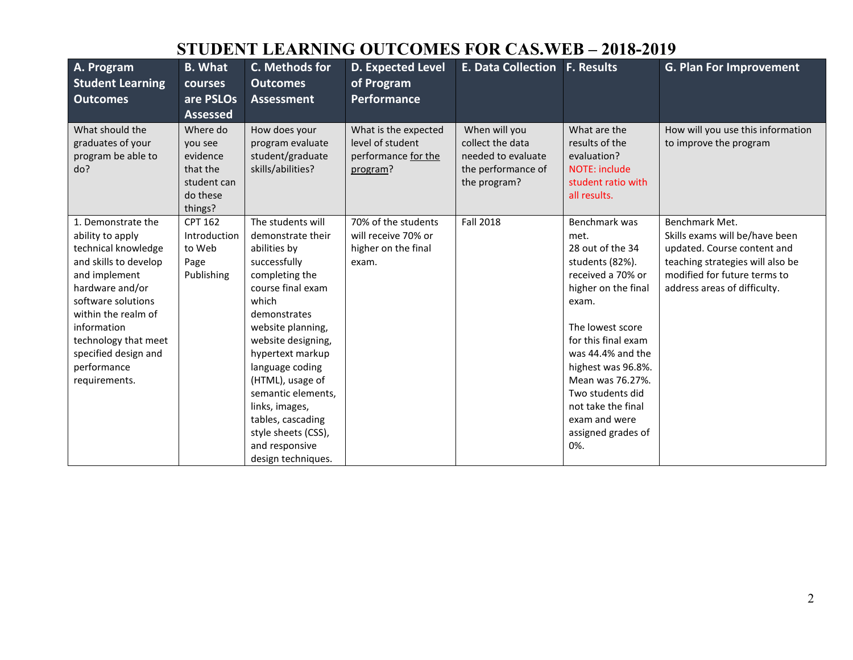# **STUDENT LEARNING OUTCOMES FOR CAS.WEB – 2018-2019**

| A. Program<br><b>Student Learning</b><br><b>Outcomes</b>                                                                                                                                                                                                               | <b>B.</b> What<br>courses<br>are PSLOs<br><b>Assessed</b>                         | C. Methods for<br><b>Outcomes</b><br><b>Assessment</b>                                                                                                                                                                                                                                                                                                                   | <b>D. Expected Level</b><br>of Program<br><b>Performance</b>                | <b>E. Data Collection</b>                                                                     | <b>F. Results</b>                                                                                                                                                                                                                                                                                                   | <b>G. Plan For Improvement</b>                                                                                                                                                      |
|------------------------------------------------------------------------------------------------------------------------------------------------------------------------------------------------------------------------------------------------------------------------|-----------------------------------------------------------------------------------|--------------------------------------------------------------------------------------------------------------------------------------------------------------------------------------------------------------------------------------------------------------------------------------------------------------------------------------------------------------------------|-----------------------------------------------------------------------------|-----------------------------------------------------------------------------------------------|---------------------------------------------------------------------------------------------------------------------------------------------------------------------------------------------------------------------------------------------------------------------------------------------------------------------|-------------------------------------------------------------------------------------------------------------------------------------------------------------------------------------|
| What should the<br>graduates of your<br>program be able to<br>do?                                                                                                                                                                                                      | Where do<br>you see<br>evidence<br>that the<br>student can<br>do these<br>things? | How does your<br>program evaluate<br>student/graduate<br>skills/abilities?                                                                                                                                                                                                                                                                                               | What is the expected<br>level of student<br>performance for the<br>program? | When will you<br>collect the data<br>needed to evaluate<br>the performance of<br>the program? | What are the<br>results of the<br>evaluation?<br><b>NOTE: include</b><br>student ratio with<br>all results.                                                                                                                                                                                                         | How will you use this information<br>to improve the program                                                                                                                         |
| 1. Demonstrate the<br>ability to apply<br>technical knowledge<br>and skills to develop<br>and implement<br>hardware and/or<br>software solutions<br>within the realm of<br>information<br>technology that meet<br>specified design and<br>performance<br>requirements. | CPT 162<br>Introduction<br>to Web<br>Page<br>Publishing                           | The students will<br>demonstrate their<br>abilities by<br>successfully<br>completing the<br>course final exam<br>which<br>demonstrates<br>website planning,<br>website designing,<br>hypertext markup<br>language coding<br>(HTML), usage of<br>semantic elements,<br>links, images,<br>tables, cascading<br>style sheets (CSS),<br>and responsive<br>design techniques. | 70% of the students<br>will receive 70% or<br>higher on the final<br>exam.  | <b>Fall 2018</b>                                                                              | Benchmark was<br>met.<br>28 out of the 34<br>students (82%).<br>received a 70% or<br>higher on the final<br>exam.<br>The lowest score<br>for this final exam<br>was 44.4% and the<br>highest was 96.8%.<br>Mean was 76.27%.<br>Two students did<br>not take the final<br>exam and were<br>assigned grades of<br>0%. | Benchmark Met.<br>Skills exams will be/have been<br>updated. Course content and<br>teaching strategies will also be<br>modified for future terms to<br>address areas of difficulty. |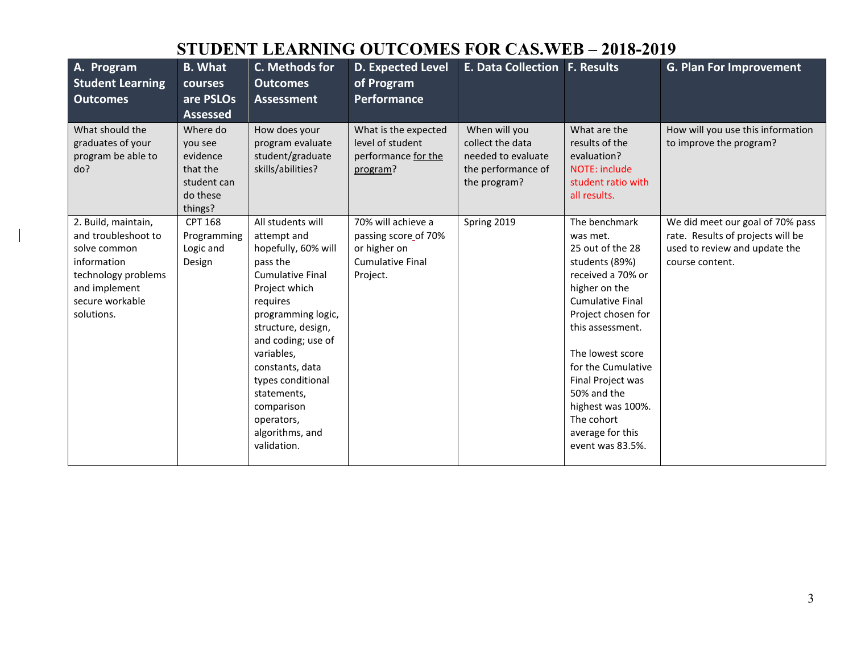# **STUDENT LEARNING OUTCOMES FOR CAS.WEB – 2018-2019**

| A. Program<br><b>Student Learning</b><br><b>Outcomes</b>                                                                                           | <b>B.</b> What<br><b>courses</b><br>are PSLOs<br><b>Assessed</b>                  | C. Methods for<br><b>Outcomes</b><br><b>Assessment</b>                                                                                                                                                                                                                                                                           | <b>D. Expected Level</b><br>of Program<br><b>Performance</b>                                      | <b>E. Data Collection F. Results</b>                                                          |                                                                                                                                                                                                                                                                                                                                     | <b>G. Plan For Improvement</b>                                                                                            |
|----------------------------------------------------------------------------------------------------------------------------------------------------|-----------------------------------------------------------------------------------|----------------------------------------------------------------------------------------------------------------------------------------------------------------------------------------------------------------------------------------------------------------------------------------------------------------------------------|---------------------------------------------------------------------------------------------------|-----------------------------------------------------------------------------------------------|-------------------------------------------------------------------------------------------------------------------------------------------------------------------------------------------------------------------------------------------------------------------------------------------------------------------------------------|---------------------------------------------------------------------------------------------------------------------------|
| What should the<br>graduates of your<br>program be able to<br>do?                                                                                  | Where do<br>you see<br>evidence<br>that the<br>student can<br>do these<br>things? | How does your<br>program evaluate<br>student/graduate<br>skills/abilities?                                                                                                                                                                                                                                                       | What is the expected<br>level of student<br>performance for the<br>program?                       | When will you<br>collect the data<br>needed to evaluate<br>the performance of<br>the program? | What are the<br>results of the<br>evaluation?<br>NOTE: include<br>student ratio with<br>all results.                                                                                                                                                                                                                                | How will you use this information<br>to improve the program?                                                              |
| 2. Build, maintain,<br>and troubleshoot to<br>solve common<br>information<br>technology problems<br>and implement<br>secure workable<br>solutions. | <b>CPT 168</b><br>Programming<br>Logic and<br>Design                              | All students will<br>attempt and<br>hopefully, 60% will<br>pass the<br><b>Cumulative Final</b><br>Project which<br>requires<br>programming logic,<br>structure, design,<br>and coding; use of<br>variables,<br>constants, data<br>types conditional<br>statements.<br>comparison<br>operators,<br>algorithms, and<br>validation. | 70% will achieve a<br>passing score of 70%<br>or higher on<br><b>Cumulative Final</b><br>Project. | Spring 2019                                                                                   | The benchmark<br>was met.<br>25 out of the 28<br>students (89%)<br>received a 70% or<br>higher on the<br><b>Cumulative Final</b><br>Project chosen for<br>this assessment.<br>The lowest score<br>for the Cumulative<br>Final Project was<br>50% and the<br>highest was 100%.<br>The cohort<br>average for this<br>event was 83.5%. | We did meet our goal of 70% pass<br>rate. Results of projects will be<br>used to review and update the<br>course content. |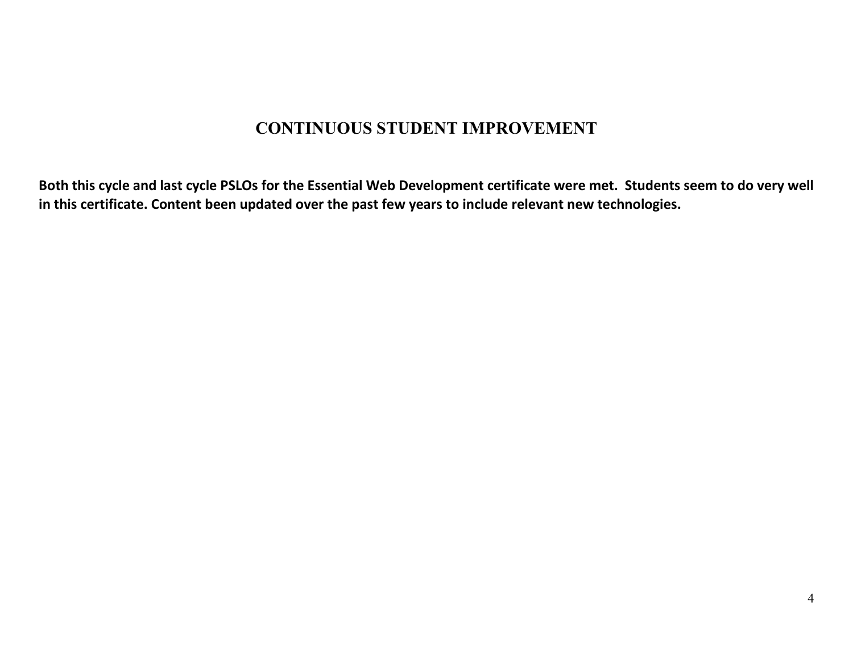## **CONTINUOUS STUDENT IMPROVEMENT**

**Both this cycle and last cycle PSLOs for the Essential Web Development certificate were met. Students seem to do very well in this certificate. Content been updated over the past few years to include relevant new technologies.**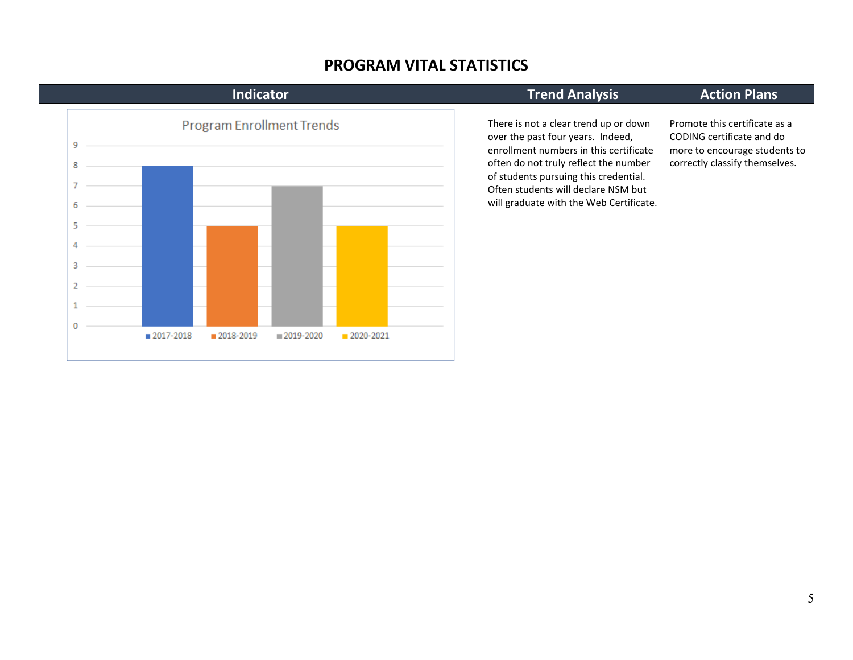#### **PROGRAM VITAL STATISTICS**

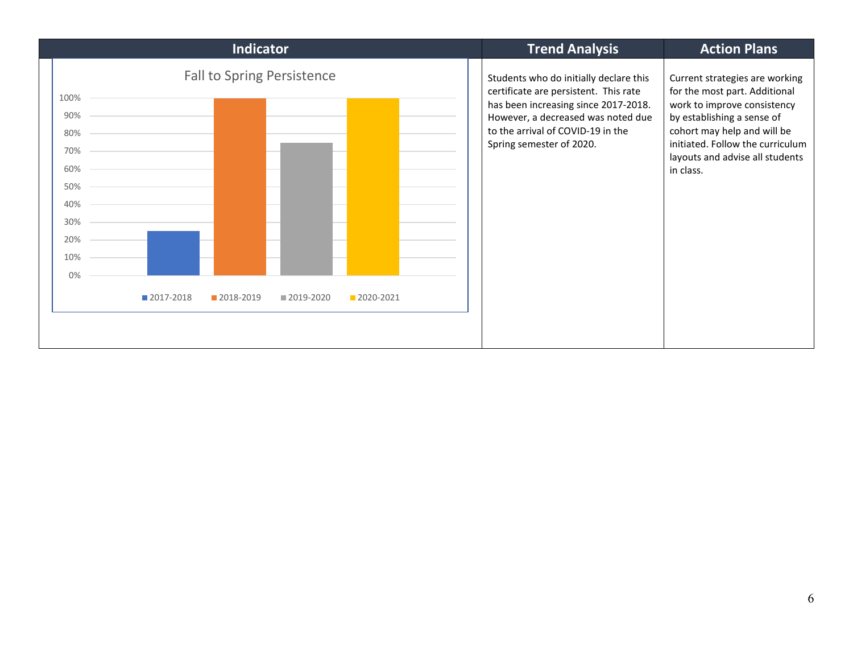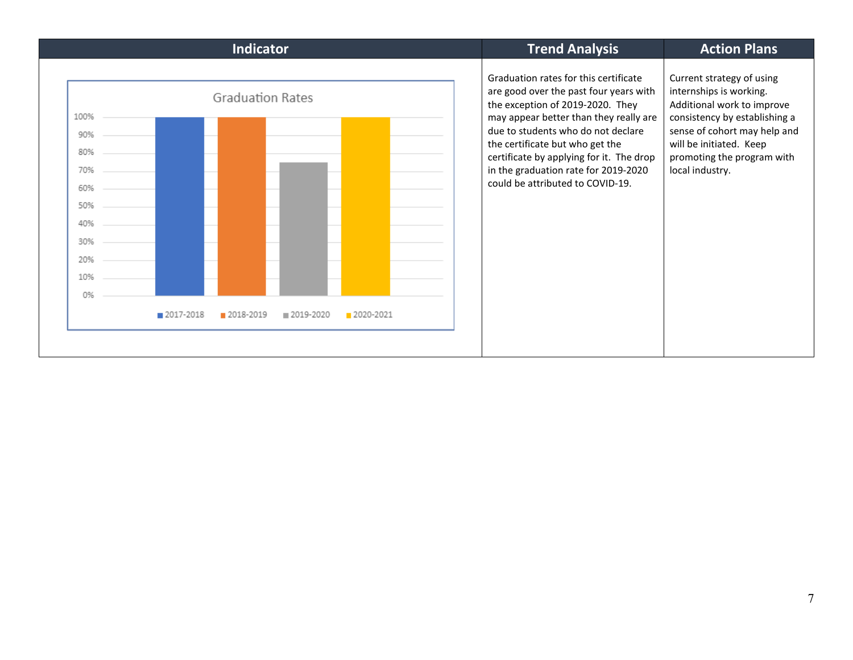| <b>Indicator</b><br><b>Trend Analysis</b>                                                                                                                                                                                                                                                                                                                                                                                                                                                                                                                                                                                                                                            | <b>Action Plans</b> |  |
|--------------------------------------------------------------------------------------------------------------------------------------------------------------------------------------------------------------------------------------------------------------------------------------------------------------------------------------------------------------------------------------------------------------------------------------------------------------------------------------------------------------------------------------------------------------------------------------------------------------------------------------------------------------------------------------|---------------------|--|
| Graduation rates for this certificate<br>Current strategy of using<br>internships is working.<br>are good over the past four years with<br><b>Graduation Rates</b><br>the exception of 2019-2020. They<br>Additional work to improve<br>may appear better than they really are<br>consistency by establishing a<br>due to students who do not declare<br>sense of cohort may help and<br>will be initiated. Keep<br>the certificate but who get the<br>certificate by applying for it. The drop<br>promoting the program with<br>in the graduation rate for 2019-2020<br>local industry.<br>could be attributed to COVID-19.<br>■ 2017-2018<br>2018-2019<br>■ 2019-2020<br>2020-2021 |                     |  |